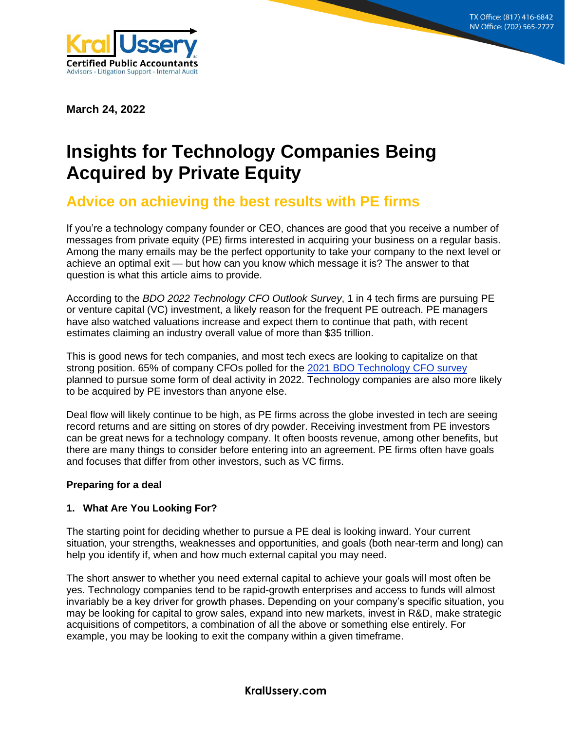**8215 S. Eastern Ave, Suite 235 Las Vegas, NV 89123 (702) 565-2727**



**March 24, 2022**

# **Insights for Technology Companies Being Acquired by Private Equity**

# **Advice on achieving the best results with PE firms**

If you're a technology company founder or CEO, chances are good that you receive a number of messages from private equity (PE) firms interested in acquiring your business on a regular basis. Among the many emails may be the perfect opportunity to take your company to the next level or achieve an optimal exit — but how can you know which message it is? The answer to that question is what this article aims to provide.

According to the *BDO 2022 Technology CFO Outlook Survey*, 1 in 4 tech firms are pursuing PE or venture capital (VC) investment, a likely reason for the frequent PE outreach. PE managers have also watched valuations increase and expect them to continue that path, with recent estimates claiming an industry overall value of more than \$35 trillion.

This is good news for tech companies, and most tech execs are looking to capitalize on that strong position. 65% of company CFOs polled for the [2021 BDO Technology CFO](https://www.bdo.com/insights/industries/industries/2021-middle-market-cfo-outlook-survey) survey planned to pursue some form of deal activity in 2022. Technology companies are also more likely to be acquired by PE investors than anyone else.

Deal flow will likely continue to be high, as PE firms across the globe invested in tech are seeing record returns and are sitting on stores of dry powder. Receiving investment from PE investors can be great news for a technology company. It often boosts revenue, among other benefits, but there are many things to consider before entering into an agreement. PE firms often have goals and focuses that differ from other investors, such as VC firms.

#### **Preparing for a deal**

# **1. What Are You Looking For?**

The starting point for deciding whether to pursue a PE deal is looking inward. Your current situation, your strengths, weaknesses and opportunities, and goals (both near-term and long) can help you identify if, when and how much external capital you may need.

The short answer to whether you need external capital to achieve your goals will most often be yes. Technology companies tend to be rapid-growth enterprises and access to funds will almost invariably be a key driver for growth phases. Depending on your company's specific situation, you may be looking for capital to grow sales, expand into new markets, invest in R&D, make strategic acquisitions of competitors, a combination of all the above or something else entirely. For example, you may be looking to exit the company within a given timeframe.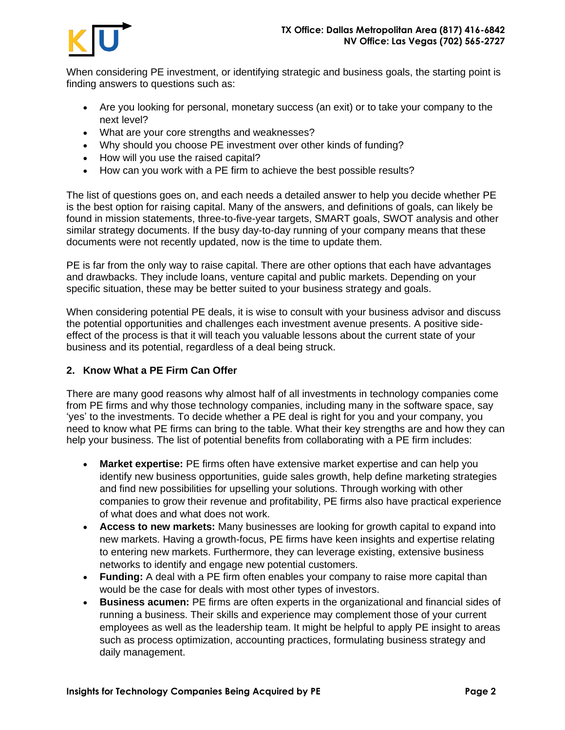

When considering PE investment, or identifying strategic and business goals, the starting point is finding answers to questions such as:

- Are you looking for personal, monetary success (an exit) or to take your company to the next level?
- What are your core strengths and weaknesses?
- Why should you choose PE investment over other kinds of funding?
- How will you use the raised capital?
- How can you work with a PE firm to achieve the best possible results?

The list of questions goes on, and each needs a detailed answer to help you decide whether PE is the best option for raising capital. Many of the answers, and definitions of goals, can likely be found in mission statements, three-to-five-year targets, SMART goals, SWOT analysis and other similar strategy documents. If the busy day-to-day running of your company means that these documents were not recently updated, now is the time to update them.

PE is far from the only way to raise capital. There are other options that each have advantages and drawbacks. They include loans, venture capital and public markets. Depending on your specific situation, these may be better suited to your business strategy and goals.

When considering potential PE deals, it is wise to consult with your business advisor and discuss the potential opportunities and challenges each investment avenue presents. A positive sideeffect of the process is that it will teach you valuable lessons about the current state of your business and its potential, regardless of a deal being struck.

#### **2. Know What a PE Firm Can Offer**

There are many good reasons why almost half of all investments in technology companies come from PE firms and why those technology companies, including many in the software space, say 'yes' to the investments. To decide whether a PE deal is right for you and your company, you need to know what PE firms can bring to the table. What their key strengths are and how they can help your business. The list of potential benefits from collaborating with a PE firm includes:

- **Market expertise:** PE firms often have extensive market expertise and can help you identify new business opportunities, guide sales growth, help define marketing strategies and find new possibilities for upselling your solutions. Through working with other companies to grow their revenue and profitability, PE firms also have practical experience of what does and what does not work.
- **Access to new markets:** Many businesses are looking for growth capital to expand into new markets. Having a growth-focus, PE firms have keen insights and expertise relating to entering new markets. Furthermore, they can leverage existing, extensive business networks to identify and engage new potential customers.
- **Funding:** A deal with a PE firm often enables your company to raise more capital than would be the case for deals with most other types of investors.
- **Business acumen:** PE firms are often experts in the organizational and financial sides of running a business. Their skills and experience may complement those of your current employees as well as the leadership team. It might be helpful to apply PE insight to areas such as process optimization, accounting practices, formulating business strategy and daily management.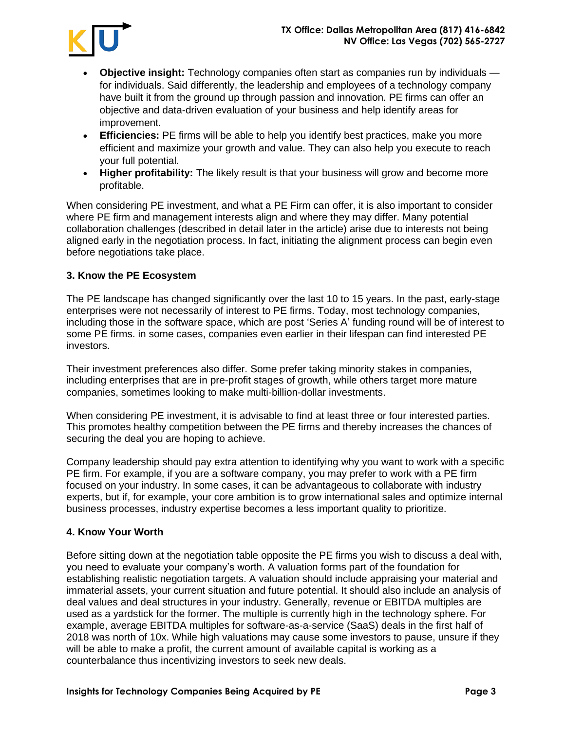

- **Objective insight:** Technology companies often start as companies run by individuals for individuals. Said differently, the leadership and employees of a technology company have built it from the ground up through passion and innovation. PE firms can offer an objective and data-driven evaluation of your business and help identify areas for improvement.
- **Efficiencies:** PE firms will be able to help you identify best practices, make you more efficient and maximize your growth and value. They can also help you execute to reach your full potential.
- **Higher profitability:** The likely result is that your business will grow and become more profitable.

When considering PE investment, and what a PE Firm can offer, it is also important to consider where PE firm and management interests align and where they may differ. Many potential collaboration challenges (described in detail later in the article) arise due to interests not being aligned early in the negotiation process. In fact, initiating the alignment process can begin even before negotiations take place.

#### **3. Know the PE Ecosystem**

The PE landscape has changed significantly over the last 10 to 15 years. In the past, early-stage enterprises were not necessarily of interest to PE firms. Today, most technology companies, including those in the software space, which are post 'Series A' funding round will be of interest to some PE firms. in some cases, companies even earlier in their lifespan can find interested PE investors.

Their investment preferences also differ. Some prefer taking minority stakes in companies, including enterprises that are in pre-profit stages of growth, while others target more mature companies, sometimes looking to make multi-billion-dollar investments.

When considering PE investment, it is advisable to find at least three or four interested parties. This promotes healthy competition between the PE firms and thereby increases the chances of securing the deal you are hoping to achieve.

Company leadership should pay extra attention to identifying why you want to work with a specific PE firm. For example, if you are a software company, you may prefer to work with a PE firm focused on your industry. In some cases, it can be advantageous to collaborate with industry experts, but if, for example, your core ambition is to grow international sales and optimize internal business processes, industry expertise becomes a less important quality to prioritize.

#### **4. Know Your Worth**

Before sitting down at the negotiation table opposite the PE firms you wish to discuss a deal with, you need to evaluate your company's worth. A valuation forms part of the foundation for establishing realistic negotiation targets. A valuation should include appraising your material and immaterial assets, your current situation and future potential. It should also include an analysis of deal values and deal structures in your industry. Generally, revenue or EBITDA multiples are used as a yardstick for the former. The multiple is currently high in the technology sphere. For example, average EBITDA multiples for software-as-a-service (SaaS) deals in the first half of 2018 was north of 10x. While high valuations may cause some investors to pause, unsure if they will be able to make a profit, the current amount of available capital is working as a counterbalance thus incentivizing investors to seek new deals.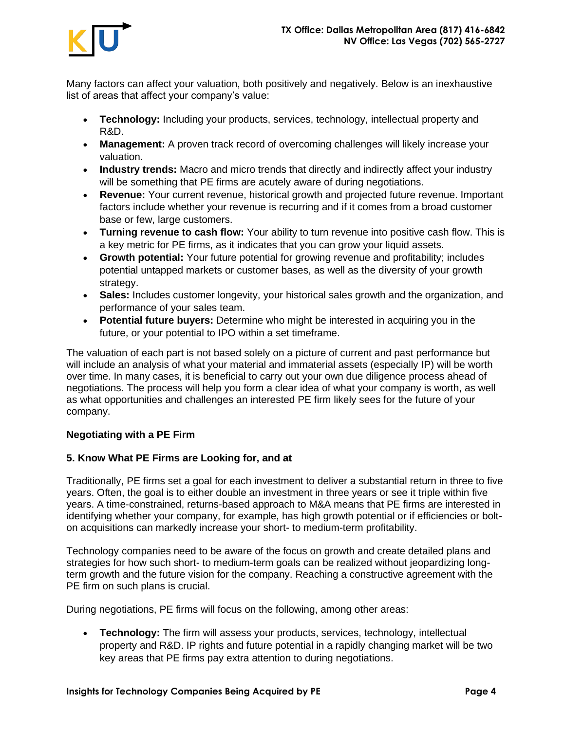

Many factors can affect your valuation, both positively and negatively. Below is an inexhaustive list of areas that affect your company's value:

- **Technology:** Including your products, services, technology, intellectual property and R&D.
- **Management:** A proven track record of overcoming challenges will likely increase your valuation.
- **Industry trends:** Macro and micro trends that directly and indirectly affect your industry will be something that PE firms are acutely aware of during negotiations.
- **Revenue:** Your current revenue, historical growth and projected future revenue. Important factors include whether your revenue is recurring and if it comes from a broad customer base or few, large customers.
- **Turning revenue to cash flow:** Your ability to turn revenue into positive cash flow. This is a key metric for PE firms, as it indicates that you can grow your liquid assets.
- **Growth potential:** Your future potential for growing revenue and profitability; includes potential untapped markets or customer bases, as well as the diversity of your growth strategy.
- **Sales:** Includes customer longevity, your historical sales growth and the organization, and performance of your sales team.
- **Potential future buyers:** Determine who might be interested in acquiring you in the future, or your potential to IPO within a set timeframe.

The valuation of each part is not based solely on a picture of current and past performance but will include an analysis of what your material and immaterial assets (especially IP) will be worth over time. In many cases, it is beneficial to carry out your own due diligence process ahead of negotiations. The process will help you form a clear idea of what your company is worth, as well as what opportunities and challenges an interested PE firm likely sees for the future of your company.

#### **Negotiating with a PE Firm**

#### **5. Know What PE Firms are Looking for, and at**

Traditionally, PE firms set a goal for each investment to deliver a substantial return in three to five years. Often, the goal is to either double an investment in three years or see it triple within five years. A time-constrained, returns-based approach to M&A means that PE firms are interested in identifying whether your company, for example, has high growth potential or if efficiencies or bolton acquisitions can markedly increase your short- to medium-term profitability.

Technology companies need to be aware of the focus on growth and create detailed plans and strategies for how such short- to medium-term goals can be realized without jeopardizing longterm growth and the future vision for the company. Reaching a constructive agreement with the PE firm on such plans is crucial.

During negotiations, PE firms will focus on the following, among other areas:

• **Technology:** The firm will assess your products, services, technology, intellectual property and R&D. IP rights and future potential in a rapidly changing market will be two key areas that PE firms pay extra attention to during negotiations.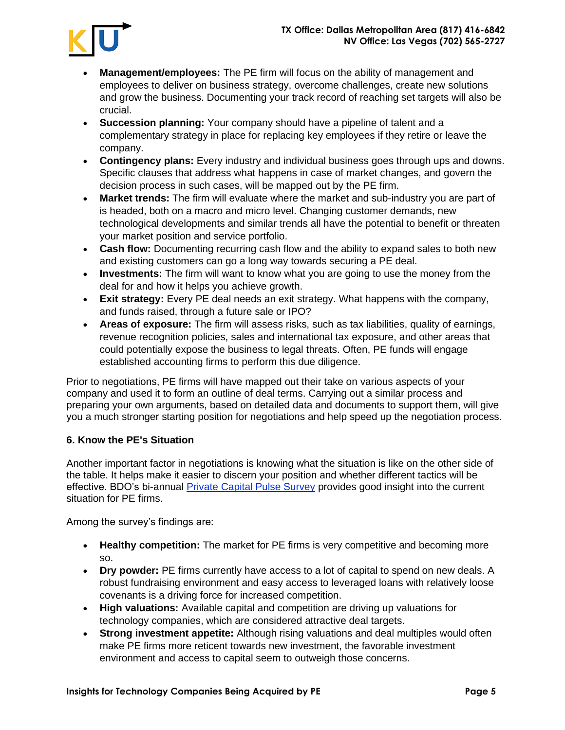

- **Management/employees:** The PE firm will focus on the ability of management and employees to deliver on business strategy, overcome challenges, create new solutions and grow the business. Documenting your track record of reaching set targets will also be crucial.
- **Succession planning:** Your company should have a pipeline of talent and a complementary strategy in place for replacing key employees if they retire or leave the company.
- **Contingency plans:** Every industry and individual business goes through ups and downs. Specific clauses that address what happens in case of market changes, and govern the decision process in such cases, will be mapped out by the PE firm.
- **Market trends:** The firm will evaluate where the market and sub-industry you are part of is headed, both on a macro and micro level. Changing customer demands, new technological developments and similar trends all have the potential to benefit or threaten your market position and service portfolio.
- **Cash flow:** Documenting recurring cash flow and the ability to expand sales to both new and existing customers can go a long way towards securing a PE deal.
- **Investments:** The firm will want to know what you are going to use the money from the deal for and how it helps you achieve growth.
- **Exit strategy:** Every PE deal needs an exit strategy. What happens with the company, and funds raised, through a future sale or IPO?
- **Areas of exposure:** The firm will assess risks, such as tax liabilities, quality of earnings, revenue recognition policies, sales and international tax exposure, and other areas that could potentially expose the business to legal threats. Often, PE funds will engage established accounting firms to perform this due diligence.

Prior to negotiations, PE firms will have mapped out their take on various aspects of your company and used it to form an outline of deal terms. Carrying out a similar process and preparing your own arguments, based on detailed data and documents to support them, will give you a much stronger starting position for negotiations and help speed up the negotiation process.

# **6. Know the PE's Situation**

Another important factor in negotiations is knowing what the situation is like on the other side of the table. It helps make it easier to discern your position and whether different tactics will be effective. BDO's bi-annual [Private Capital Pulse Survey](https://www.bdo.com/insights/industries/private-equity/bdo-private-capital-pulse-survey-fall-2021) provides good insight into the current situation for PE firms.

Among the survey's findings are:

- **Healthy competition:** The market for PE firms is very competitive and becoming more so.
- **Dry powder:** PE firms currently have access to a lot of capital to spend on new deals. A robust fundraising environment and easy access to leveraged loans with relatively loose covenants is a driving force for increased competition.
- **High valuations:** Available capital and competition are driving up valuations for technology companies, which are considered attractive deal targets.
- **Strong investment appetite:** Although rising valuations and deal multiples would often make PE firms more reticent towards new investment, the favorable investment environment and access to capital seem to outweigh those concerns.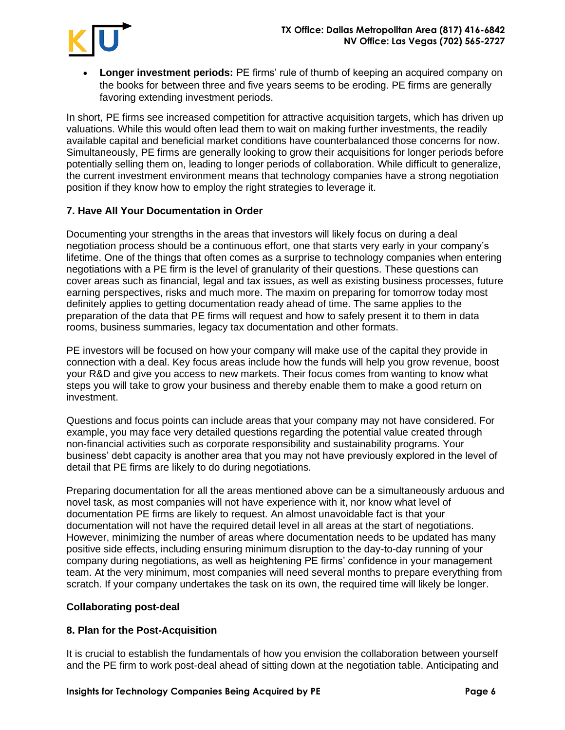

• **Longer investment periods:** PE firms' rule of thumb of keeping an acquired company on the books for between three and five years seems to be eroding. PE firms are generally favoring extending investment periods.

In short, PE firms see increased competition for attractive acquisition targets, which has driven up valuations. While this would often lead them to wait on making further investments, the readily available capital and beneficial market conditions have counterbalanced those concerns for now. Simultaneously, PE firms are generally looking to grow their acquisitions for longer periods before potentially selling them on, leading to longer periods of collaboration. While difficult to generalize, the current investment environment means that technology companies have a strong negotiation position if they know how to employ the right strategies to leverage it.

# **7. Have All Your Documentation in Order**

Documenting your strengths in the areas that investors will likely focus on during a deal negotiation process should be a continuous effort, one that starts very early in your company's lifetime. One of the things that often comes as a surprise to technology companies when entering negotiations with a PE firm is the level of granularity of their questions. These questions can cover areas such as financial, legal and tax issues, as well as existing business processes, future earning perspectives, risks and much more. The maxim on preparing for tomorrow today most definitely applies to getting documentation ready ahead of time. The same applies to the preparation of the data that PE firms will request and how to safely present it to them in data rooms, business summaries, legacy tax documentation and other formats.

PE investors will be focused on how your company will make use of the capital they provide in connection with a deal. Key focus areas include how the funds will help you grow revenue, boost your R&D and give you access to new markets. Their focus comes from wanting to know what steps you will take to grow your business and thereby enable them to make a good return on investment.

Questions and focus points can include areas that your company may not have considered. For example, you may face very detailed questions regarding the potential value created through non-financial activities such as corporate responsibility and sustainability programs. Your business' debt capacity is another area that you may not have previously explored in the level of detail that PE firms are likely to do during negotiations.

Preparing documentation for all the areas mentioned above can be a simultaneously arduous and novel task, as most companies will not have experience with it, nor know what level of documentation PE firms are likely to request. An almost unavoidable fact is that your documentation will not have the required detail level in all areas at the start of negotiations. However, minimizing the number of areas where documentation needs to be updated has many positive side effects, including ensuring minimum disruption to the day-to-day running of your company during negotiations, as well as heightening PE firms' confidence in your management team. At the very minimum, most companies will need several months to prepare everything from scratch. If your company undertakes the task on its own, the required time will likely be longer.

#### **Collaborating post-deal**

#### **8. Plan for the Post-Acquisition**

It is crucial to establish the fundamentals of how you envision the collaboration between yourself and the PE firm to work post-deal ahead of sitting down at the negotiation table. Anticipating and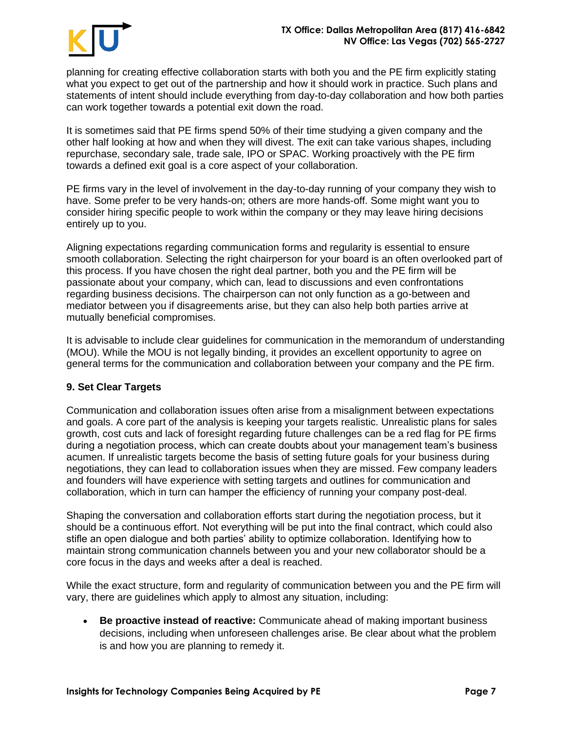

planning for creating effective collaboration starts with both you and the PE firm explicitly stating what you expect to get out of the partnership and how it should work in practice. Such plans and statements of intent should include everything from day-to-day collaboration and how both parties can work together towards a potential exit down the road.

It is sometimes said that PE firms spend 50% of their time studying a given company and the other half looking at how and when they will divest. The exit can take various shapes, including repurchase, secondary sale, trade sale, IPO or SPAC. Working proactively with the PE firm towards a defined exit goal is a core aspect of your collaboration.

PE firms vary in the level of involvement in the day-to-day running of your company they wish to have. Some prefer to be very hands-on; others are more hands-off. Some might want you to consider hiring specific people to work within the company or they may leave hiring decisions entirely up to you.

Aligning expectations regarding communication forms and regularity is essential to ensure smooth collaboration. Selecting the right chairperson for your board is an often overlooked part of this process. If you have chosen the right deal partner, both you and the PE firm will be passionate about your company, which can, lead to discussions and even confrontations regarding business decisions. The chairperson can not only function as a go-between and mediator between you if disagreements arise, but they can also help both parties arrive at mutually beneficial compromises.

It is advisable to include clear guidelines for communication in the memorandum of understanding (MOU). While the MOU is not legally binding, it provides an excellent opportunity to agree on general terms for the communication and collaboration between your company and the PE firm.

#### **9. Set Clear Targets**

Communication and collaboration issues often arise from a misalignment between expectations and goals. A core part of the analysis is keeping your targets realistic. Unrealistic plans for sales growth, cost cuts and lack of foresight regarding future challenges can be a red flag for PE firms during a negotiation process, which can create doubts about your management team's business acumen. If unrealistic targets become the basis of setting future goals for your business during negotiations, they can lead to collaboration issues when they are missed. Few company leaders and founders will have experience with setting targets and outlines for communication and collaboration, which in turn can hamper the efficiency of running your company post-deal.

Shaping the conversation and collaboration efforts start during the negotiation process, but it should be a continuous effort. Not everything will be put into the final contract, which could also stifle an open dialogue and both parties' ability to optimize collaboration. Identifying how to maintain strong communication channels between you and your new collaborator should be a core focus in the days and weeks after a deal is reached.

While the exact structure, form and regularity of communication between you and the PE firm will vary, there are guidelines which apply to almost any situation, including:

• **Be proactive instead of reactive:** Communicate ahead of making important business decisions, including when unforeseen challenges arise. Be clear about what the problem is and how you are planning to remedy it.